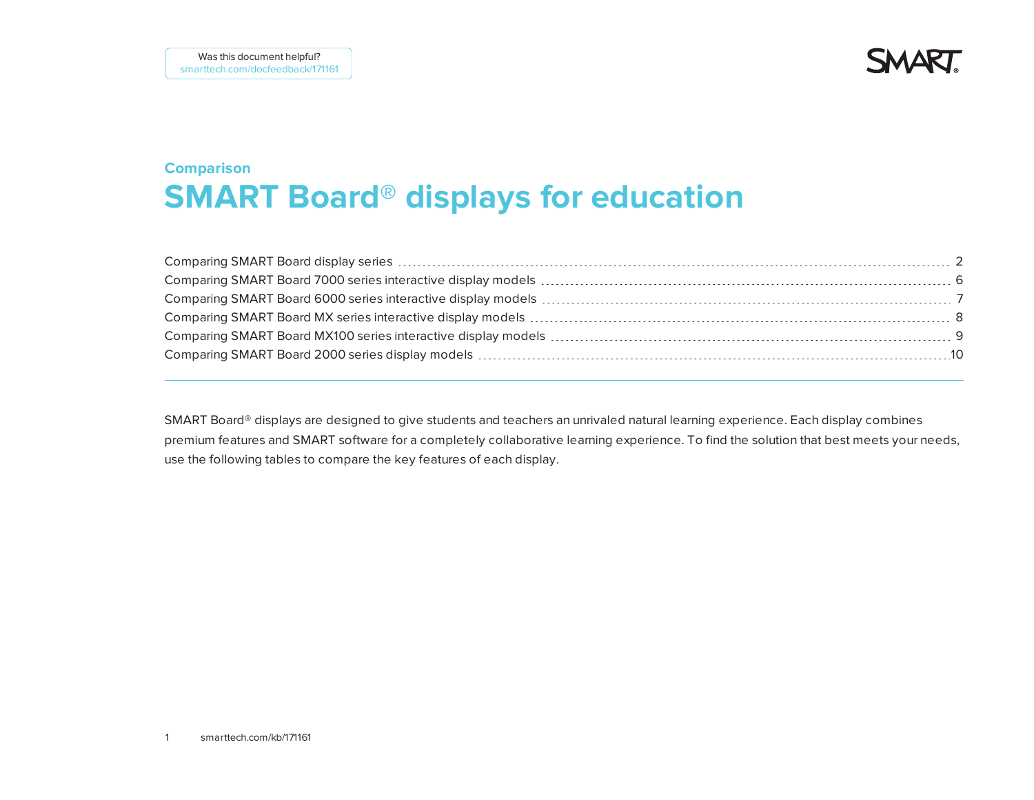**SMART** 

### **Comparison SMART Board® displays for education**

SMART Board® displays are designed to give students and teachers an unrivaled natural learning experience. Each display combines premium features and SMART software for a completely collaborative learning experience. To find the solution that best meets your needs, use the following tables to compare the key features of each display.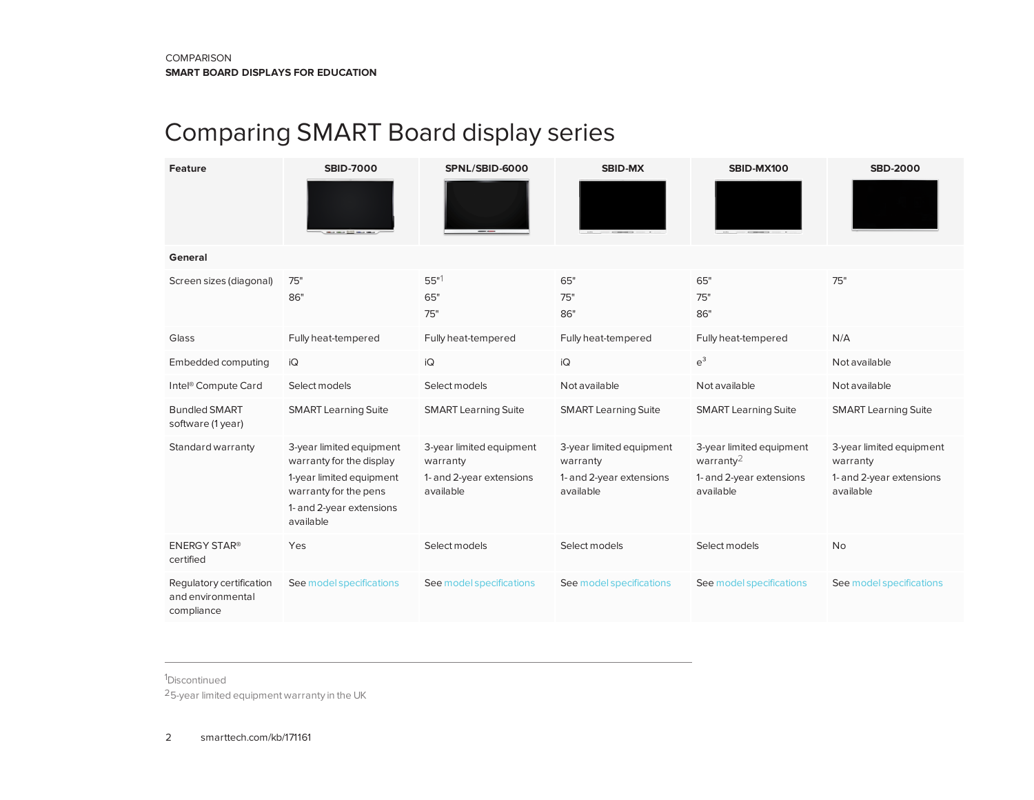# <span id="page-1-0"></span>Comparing SMART Board display series

| Feature                                                     | <b>SBID-7000</b>                                                                                                                                   | SPNL/SBID-6000                                                                | <b>SBID-MX</b>                                                                | SBID-MX100                                                                                 | <b>SBD-2000</b>                                                               |
|-------------------------------------------------------------|----------------------------------------------------------------------------------------------------------------------------------------------------|-------------------------------------------------------------------------------|-------------------------------------------------------------------------------|--------------------------------------------------------------------------------------------|-------------------------------------------------------------------------------|
| General                                                     |                                                                                                                                                    |                                                                               |                                                                               |                                                                                            |                                                                               |
| Screen sizes (diagonal)                                     | 75"<br>86"                                                                                                                                         | $55"$ <sup>1</sup><br>65"<br>75"                                              | 65"<br>75"<br>86"                                                             | 65"<br>75"<br>86"                                                                          | 75"                                                                           |
| Glass                                                       | Fully heat-tempered                                                                                                                                | Fully heat-tempered                                                           | Fully heat-tempered                                                           | Fully heat-tempered                                                                        | N/A                                                                           |
| Embedded computing                                          | iQ                                                                                                                                                 | iQ                                                                            | iQ                                                                            | $e^3$                                                                                      | Not available                                                                 |
| Intel <sup>®</sup> Compute Card                             | Select models                                                                                                                                      | Select models                                                                 | Not available                                                                 | Not available                                                                              | Not available                                                                 |
| <b>Bundled SMART</b><br>software (1 year)                   | <b>SMART Learning Suite</b>                                                                                                                        | <b>SMART Learning Suite</b>                                                   | <b>SMART Learning Suite</b>                                                   | <b>SMART Learning Suite</b>                                                                | <b>SMART Learning Suite</b>                                                   |
| Standard warranty                                           | 3-year limited equipment<br>warranty for the display<br>1-year limited equipment<br>warranty for the pens<br>1- and 2-year extensions<br>available | 3-year limited equipment<br>warranty<br>1- and 2-year extensions<br>available | 3-year limited equipment<br>warranty<br>1- and 2-year extensions<br>available | 3-year limited equipment<br>warranty <sup>2</sup><br>1- and 2-year extensions<br>available | 3-year limited equipment<br>warranty<br>1- and 2-year extensions<br>available |
| <b>ENERGY STAR®</b><br>certified                            | Yes                                                                                                                                                | Select models                                                                 | Select models                                                                 | Select models                                                                              | No                                                                            |
| Regulatory certification<br>and environmental<br>compliance | See model specifications                                                                                                                           | See model specifications                                                      | See model specifications                                                      | See model specifications                                                                   | See model specifications                                                      |

1Discontinued

25-year limited equipment warranty in the UK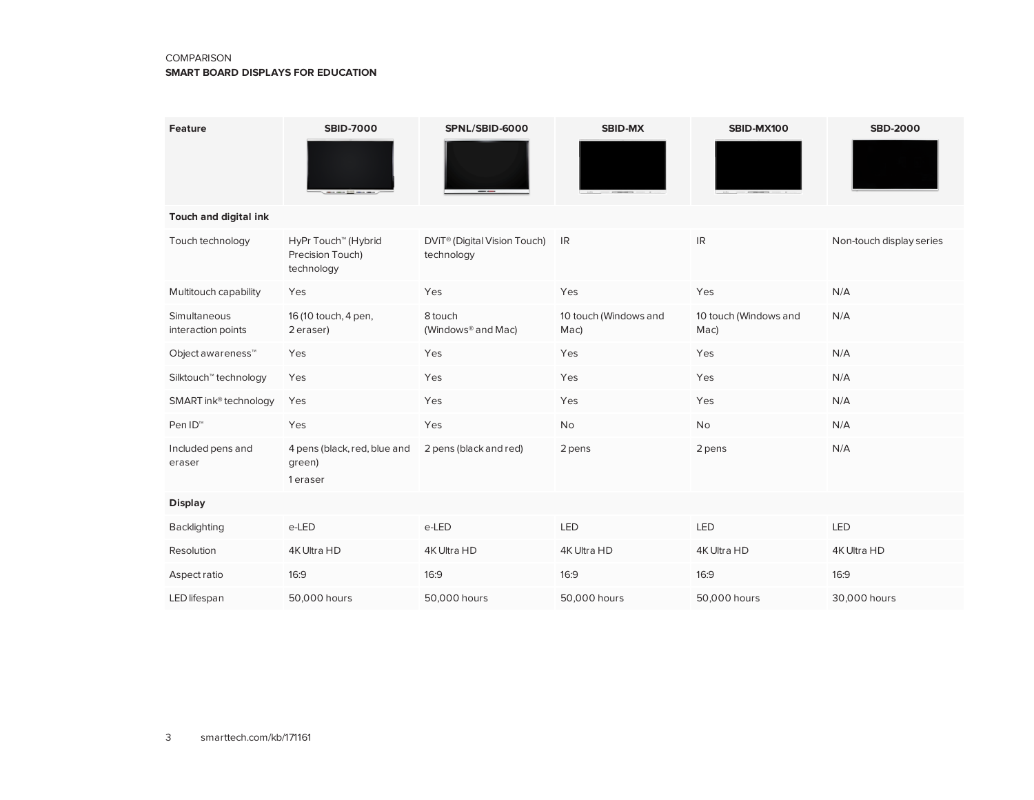#### **COMPARISON**

#### **SMART BOARD DISPLAYS FOR EDUCATION**

| Feature                            | <b>SBID-7000</b>                                                  | SPNL/SBID-6000                                         | <b>SBID-MX</b>                | SBID-MX100                    | <b>SBD-2000</b>          |
|------------------------------------|-------------------------------------------------------------------|--------------------------------------------------------|-------------------------------|-------------------------------|--------------------------|
| Touch and digital ink              |                                                                   |                                                        |                               |                               |                          |
| Touch technology                   | HyPr Touch <sup>™</sup> (Hybrid<br>Precision Touch)<br>technology | DViT <sup>®</sup> (Digital Vision Touch)<br>technology | IR                            | <b>IR</b>                     | Non-touch display series |
| Multitouch capability              | Yes                                                               | Yes                                                    | Yes                           | Yes                           | N/A                      |
| Simultaneous<br>interaction points | 16 (10 touch, 4 pen,<br>2 eraser)                                 | 8 touch<br>(Windows <sup>®</sup> and Mac)              | 10 touch (Windows and<br>Mac) | 10 touch (Windows and<br>Mac) | N/A                      |
| Object awareness <sup>™</sup>      | Yes                                                               | Yes                                                    | Yes                           | Yes                           | N/A                      |
| Silktouch <sup>™</sup> technology  | Yes                                                               | Yes                                                    | Yes                           | Yes                           | N/A                      |
| SMART ink <sup>®</sup> technology  | Yes                                                               | Yes                                                    | Yes                           | Yes                           | N/A                      |
| Pen ID <sup>™</sup>                | Yes                                                               | Yes                                                    | No                            | No                            | N/A                      |
| Included pens and<br>eraser        | 4 pens (black, red, blue and<br>green)<br>1 eraser                | 2 pens (black and red)                                 | 2 pens                        | 2 pens                        | N/A                      |
| <b>Display</b>                     |                                                                   |                                                        |                               |                               |                          |
| Backlighting                       | e-LED                                                             | e-LED                                                  | <b>LED</b>                    | LED                           | <b>LED</b>               |
| Resolution                         | 4K Ultra HD                                                       | 4K Ultra HD                                            | 4K Ultra HD                   | 4K Ultra HD                   | 4K Ultra HD              |
| Aspect ratio                       | 16:9                                                              | 16:9                                                   | 16:9                          | 16:9                          | 16:9                     |
| LED lifespan                       | 50,000 hours                                                      | 50,000 hours                                           | 50,000 hours                  | 50,000 hours                  | 30,000 hours             |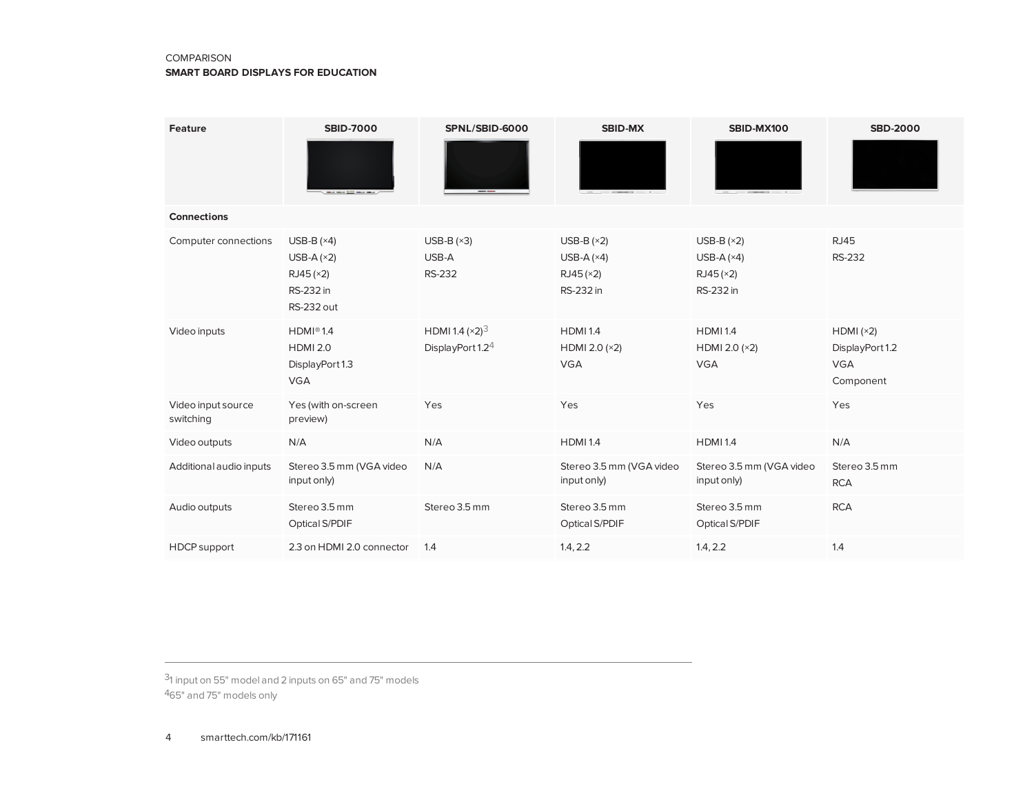#### **COMPARISON**

#### **SMART BOARD DISPLAYS FOR EDUCATION**

| Feature                         | <b>SBID-7000</b>                                                           | SPNL/SBID-6000                                    | <b>SBID-MX</b>                                        | SBID-MX100                                            | <b>SBD-2000</b>                                        |
|---------------------------------|----------------------------------------------------------------------------|---------------------------------------------------|-------------------------------------------------------|-------------------------------------------------------|--------------------------------------------------------|
| <b>Connections</b>              |                                                                            |                                                   |                                                       |                                                       |                                                        |
| Computer connections            | USB-B $(x4)$<br>USB-A $(x2)$<br>RJ45(x2)<br>RS-232 in<br><b>RS-232 out</b> | USB-B $(x3)$<br>USB-A<br><b>RS-232</b>            | USB-B $(x2)$<br>USB-A $(x4)$<br>RJ45(x2)<br>RS-232 in | USB-B $(x2)$<br>USB-A $(x4)$<br>RJ45(x2)<br>RS-232 in | <b>RJ45</b><br><b>RS-232</b>                           |
| Video inputs                    | HDMI@1.4<br><b>HDMI 2.0</b><br>DisplayPort 1.3<br><b>VGA</b>               | HDMI 1.4 $(x2)^3$<br>DisplayPort 1.2 <sup>4</sup> | <b>HDMI1.4</b><br>HDMI 2.0 (×2)<br><b>VGA</b>         | <b>HDMI1.4</b><br>HDMI 2.0 (×2)<br><b>VGA</b>         | HDMI(x2)<br>DisplayPort 1.2<br><b>VGA</b><br>Component |
| Video input source<br>switching | Yes (with on-screen<br>preview)                                            | Yes                                               | Yes                                                   | Yes                                                   | Yes                                                    |
| Video outputs                   | N/A                                                                        | N/A                                               | <b>HDMI1.4</b>                                        | <b>HDMI1.4</b>                                        | N/A                                                    |
| Additional audio inputs         | Stereo 3.5 mm (VGA video<br>input only)                                    | N/A                                               | Stereo 3.5 mm (VGA video<br>input only)               | Stereo 3.5 mm (VGA video<br>input only)               | Stereo 3.5 mm<br><b>RCA</b>                            |
| Audio outputs                   | Stereo 3.5 mm<br>Optical S/PDIF                                            | Stereo 3.5 mm                                     | Stereo 3.5 mm<br>Optical S/PDIF                       | Stereo 3.5 mm<br>Optical S/PDIF                       | <b>RCA</b>                                             |
| <b>HDCP</b> support             | 2.3 on HDMI 2.0 connector                                                  | 1.4                                               | 1.4, 2.2                                              | 1.4, 2.2                                              | 1.4                                                    |

31 input on 55" model and 2 inputs on 65" and 75" models 465" and 75" models only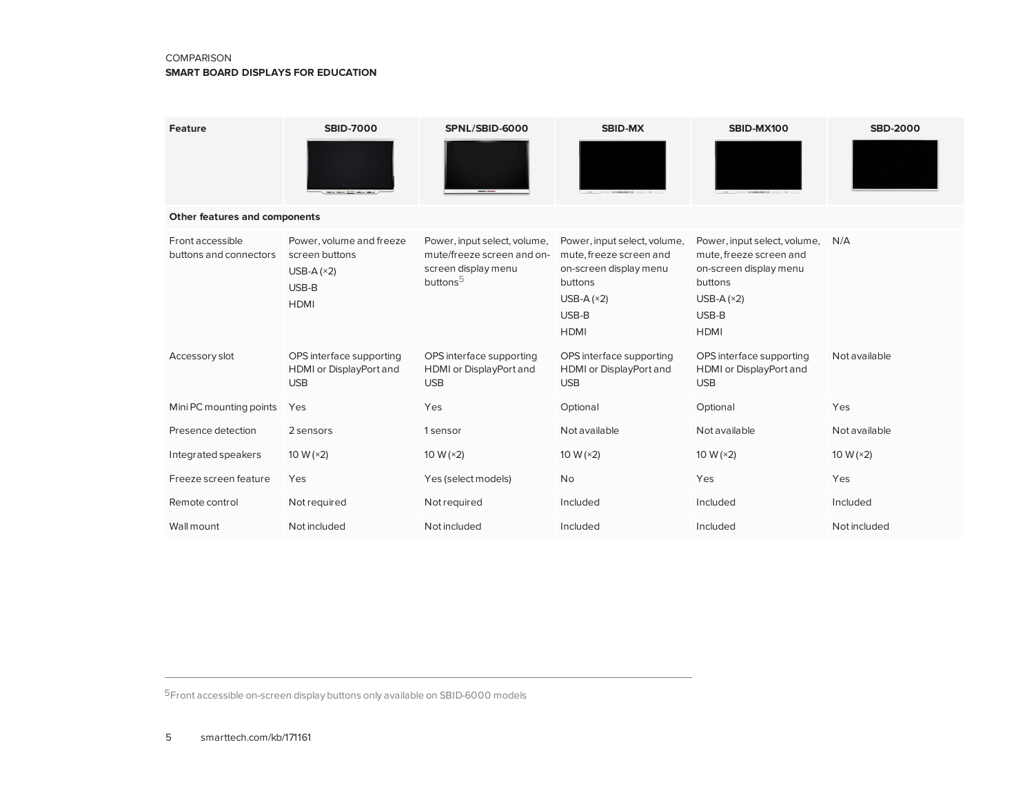#### **COMPARISON**

#### **SMART BOARD DISPLAYS FOR EDUCATION**

| <b>Feature</b>                             | <b>SBID-7000</b><br><b>CONTRACTOR INTERNATIONAL CONTRACTOR</b>                     | SPNL/SBID-6000                                                                                            | <b>SBID-MX</b>                                                                                                                       | SBID-MX100                                                                                                                           | <b>SBD-2000</b> |
|--------------------------------------------|------------------------------------------------------------------------------------|-----------------------------------------------------------------------------------------------------------|--------------------------------------------------------------------------------------------------------------------------------------|--------------------------------------------------------------------------------------------------------------------------------------|-----------------|
| Other features and components              |                                                                                    |                                                                                                           |                                                                                                                                      |                                                                                                                                      |                 |
| Front accessible<br>buttons and connectors | Power, volume and freeze<br>screen buttons<br>USB-A $(x2)$<br>USB-B<br><b>HDMI</b> | Power, input select, volume,<br>mute/freeze screen and on-<br>screen display menu<br>buttons <sup>5</sup> | Power, input select, volume,<br>mute, freeze screen and<br>on-screen display menu<br>buttons<br>USB-A $(x2)$<br>USB-B<br><b>HDMI</b> | Power, input select, volume,<br>mute, freeze screen and<br>on-screen display menu<br>buttons<br>USB-A $(x2)$<br>USB-B<br><b>HDMI</b> | N/A             |
| Accessory slot                             | OPS interface supporting<br>HDMI or DisplayPort and<br><b>USB</b>                  | OPS interface supporting<br>HDMI or DisplayPort and<br><b>USB</b>                                         | OPS interface supporting<br><b>HDMI</b> or DisplayPort and<br><b>USB</b>                                                             | OPS interface supporting<br>HDMI or DisplayPort and<br><b>USB</b>                                                                    | Not available   |
| Mini PC mounting points                    | Yes                                                                                | Yes                                                                                                       | Optional                                                                                                                             | Optional                                                                                                                             | Yes             |
| Presence detection                         | 2 sensors                                                                          | 1 sensor                                                                                                  | Not available                                                                                                                        | Not available                                                                                                                        | Not available   |
| Integrated speakers                        | 10 W $(x2)$                                                                        | 10 W $(x2)$                                                                                               | 10 W $(x2)$                                                                                                                          | 10 W $(x2)$                                                                                                                          | 10 W $(x2)$     |
| Freeze screen feature                      | Yes                                                                                | Yes (select models)                                                                                       | No                                                                                                                                   | Yes                                                                                                                                  | Yes             |
| Remote control                             | Not required                                                                       | Not required                                                                                              | Included                                                                                                                             | Included                                                                                                                             | Included        |
| Wall mount                                 | Not included                                                                       | Not included                                                                                              | Included                                                                                                                             | Included                                                                                                                             | Not included    |

5Front accessible on-screen display buttons only available on SBID-6000 models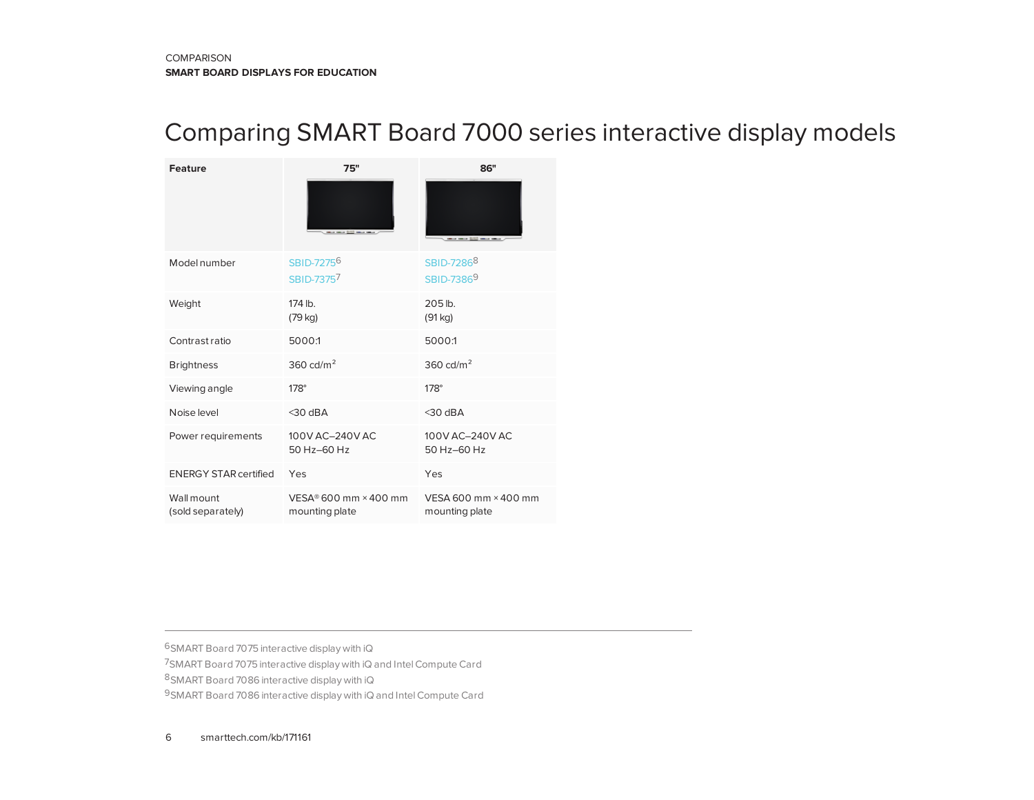### <span id="page-5-0"></span>Comparing SMART Board 7000 series interactive display models

| <b>Feature</b>                  | 75"                                              | 86"                                              |
|---------------------------------|--------------------------------------------------|--------------------------------------------------|
|                                 |                                                  |                                                  |
| <b>Model number</b>             | SBID-7275 <sup>6</sup><br>SBID-7375 <sup>7</sup> | SBID-7286 <sup>8</sup><br>SBID-7386 <sup>9</sup> |
| Weight                          | 174 lb.<br>$(79 \text{ kg})$                     | 205 lb.<br>(91 kg)                               |
| Contrast ratio                  | 5000:1                                           | 5000:1                                           |
| <b>Brightness</b>               | 360 cd/ $m2$                                     | 360 cd/ $m2$                                     |
| Viewing angle                   | $178^\circ$                                      | $178^\circ$                                      |
| Noise level                     | $<$ 30 dBA                                       | $<$ 30 dBA                                       |
| Power requirements              | 100V AC-240V AC<br>50 Hz-60 Hz                   | 100V AC-240V AC<br>50 Hz-60 Hz                   |
| <b>ENERGY STAR certified</b>    | Yes                                              | Yes                                              |
| Wall mount<br>(sold separately) | VESA® 600 mm × 400 mm<br>mounting plate          | VESA 600 mm × 400 mm<br>mounting plate           |

SMART Board 7075 interactive display with iQ SMART Board 7075 interactive display with iQ and IntelCompute Card SMART Board 7086 interactive display with iQ 9SMART Board 7086 interactive display with iQ and Intel Compute Card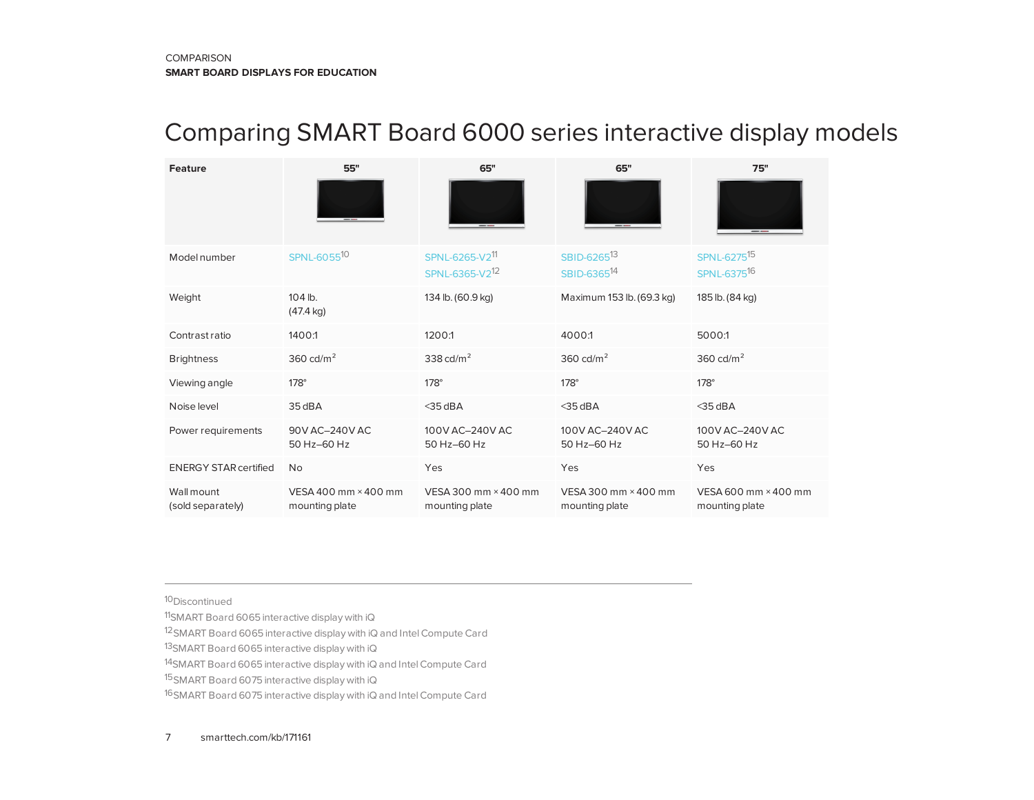### <span id="page-6-0"></span>Comparing SMART Board 6000 series interactive display models

| Feature                         | 55"                                    | 65"                                                      | 65"                                                | 75"                                                |
|---------------------------------|----------------------------------------|----------------------------------------------------------|----------------------------------------------------|----------------------------------------------------|
|                                 |                                        |                                                          |                                                    |                                                    |
| Model number                    | SPNL-605510                            | SPNL-6265-V2 <sup>11</sup><br>SPNL-6365-V2 <sup>12</sup> | SBID-6265 <sup>13</sup><br>SBID-6365 <sup>14</sup> | SPNL-6275 <sup>15</sup><br>SPNL-6375 <sup>16</sup> |
| Weight                          | 104 lb.<br>$(47.4 \text{ kg})$         | 134 lb. (60.9 kg)                                        | Maximum 153 lb. (69.3 kg)                          | 185 lb. (84 kg)                                    |
| Contrast ratio                  | 1400:1                                 | 1200:1                                                   | 4000:1                                             | 5000:1                                             |
| <b>Brightness</b>               | 360 cd/ $m2$                           | 338 cd/ $m2$                                             | 360 cd/ $m2$                                       | 360 cd/ $m2$                                       |
| Viewing angle                   | $178^\circ$                            | $178^\circ$                                              | $178^\circ$                                        | $178^\circ$                                        |
| Noise level                     | 35 dBA                                 | $<$ 35 dBA                                               | $<$ 35 dBA                                         | $<$ 35 dBA                                         |
| Power requirements              | 90V AC-240V AC<br>50 Hz-60 Hz          | 100V AC-240V AC<br>50 Hz-60 Hz                           | 100V AC-240V AC<br>50 Hz-60 Hz                     | 100V AC-240V AC<br>50 Hz-60 Hz                     |
| <b>ENERGY STAR certified</b>    | <b>No</b>                              | Yes                                                      | Yes                                                | Yes                                                |
| Wall mount<br>(sold separately) | VESA 400 mm × 400 mm<br>mounting plate | VESA 300 mm × 400 mm<br>mounting plate                   | VESA 300 mm × 400 mm<br>mounting plate             | VESA 600 mm × 400 mm<br>mounting plate             |

10Discontinued

11SMART Board 6065 interactive display with iQ

12SMART Board 6065 interactive display with iQ and IntelCompute Card

13SMART Board 6065 interactive display with iQ

14SMART Board 6065 interactive display with iQ and IntelCompute Card

15SMART Board 6075 interactive display with iQ

16SMART Board 6075 interactive display with iQ and IntelCompute Card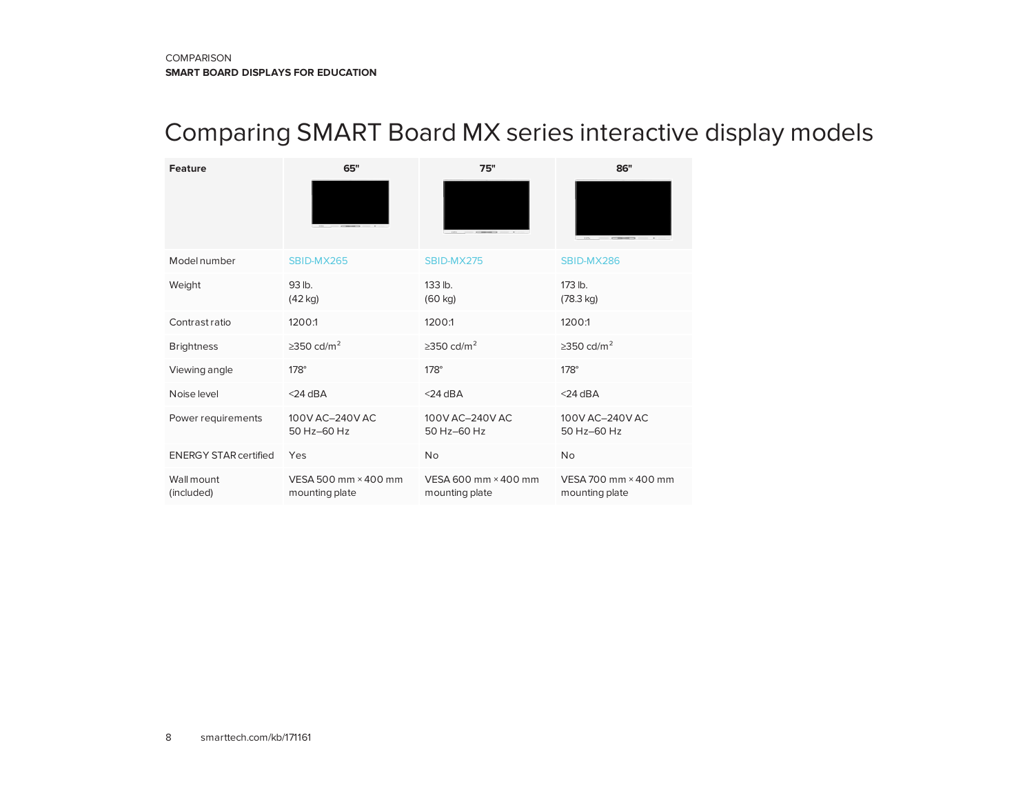## <span id="page-7-0"></span>Comparing SMART Board MX series interactive display models

| <b>Feature</b>               | 65"                                    | 75"                                    | 86"                                    |
|------------------------------|----------------------------------------|----------------------------------------|----------------------------------------|
|                              |                                        |                                        |                                        |
| Model number                 | SBID-MX265                             | SBID-MX275                             | SBID-MX286                             |
| Weight                       | 93 lb.<br>$(42$ kg)                    | 133 lb.<br>$(60 \text{ kg})$           | 173 lb.<br>$(78.3 \text{ kg})$         |
| Contrast ratio               | 1200:1                                 | 1200:1                                 | 1200:1                                 |
| <b>Brightness</b>            | $\geq$ 350 cd/m <sup>2</sup>           | $\geq$ 350 cd/m <sup>2</sup>           | $\geq$ 350 cd/m <sup>2</sup>           |
| Viewing angle                | $178^\circ$                            | $178^\circ$                            | $178^\circ$                            |
| Noise level                  | $<$ 24 dBA                             | $<$ 24 dBA                             | $<$ 24 dBA                             |
| Power requirements           | 100V AC-240V AC<br>50 Hz-60 Hz         | 100V AC-240V AC<br>50 Hz-60 Hz         | 100V AC-240V AC<br>50 Hz-60 Hz         |
| <b>ENERGY STAR certified</b> | Yes                                    | <b>No</b>                              | No                                     |
| Wall mount<br>(included)     | VESA 500 mm × 400 mm<br>mounting plate | VESA 600 mm × 400 mm<br>mounting plate | VESA 700 mm × 400 mm<br>mounting plate |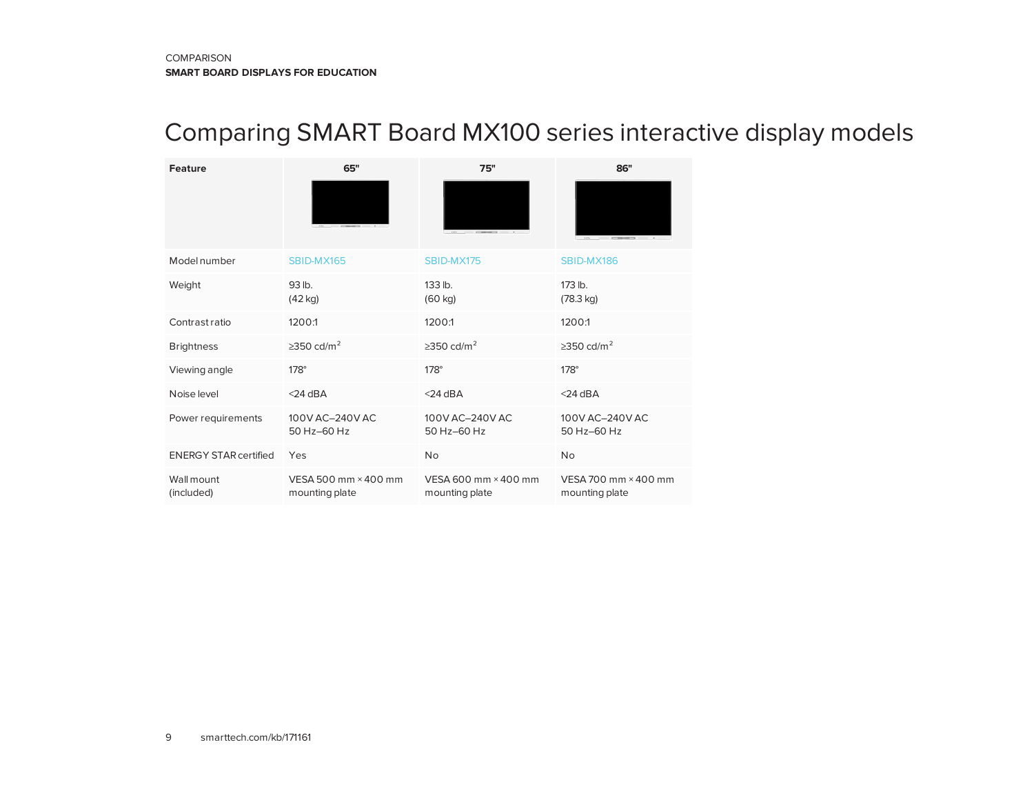## <span id="page-8-0"></span>Comparing SMART Board MX100 series interactive display models

| <b>Feature</b>               | 65"                                    | 75"                                    | 86"                                    |
|------------------------------|----------------------------------------|----------------------------------------|----------------------------------------|
|                              |                                        |                                        |                                        |
| Model number                 | SBID-MX165                             | SBID-MX175                             | SBID-MX186                             |
| Weight                       | 93 lb.<br>$(42$ kg)                    | $133$ lb.<br>$(60 \text{ kg})$         | $173$ lb.<br>$(78.3 \text{ kg})$       |
| Contrast ratio               | 1200:1                                 | 1200:1                                 | 1200:1                                 |
| <b>Brightness</b>            | $\geq$ 350 cd/m <sup>2</sup>           | $\geq$ 350 cd/m <sup>2</sup>           | $\geq$ 350 cd/m <sup>2</sup>           |
| Viewing angle                | $178^\circ$                            | $178^\circ$                            | $178^\circ$                            |
| Noise level                  | $<$ 24 dBA                             | $<$ 24 dBA                             | $<$ 24 dBA                             |
| Power requirements           | 100V AC-240V AC<br>50 Hz-60 Hz         | 100V AC-240V AC<br>50 Hz-60 Hz         | 100V AC-240V AC<br>50 Hz-60 Hz         |
| <b>ENERGY STAR certified</b> | Yes                                    | <b>No</b>                              | <b>No</b>                              |
| Wall mount<br>(included)     | VESA 500 mm × 400 mm<br>mounting plate | VESA 600 mm × 400 mm<br>mounting plate | VESA 700 mm × 400 mm<br>mounting plate |